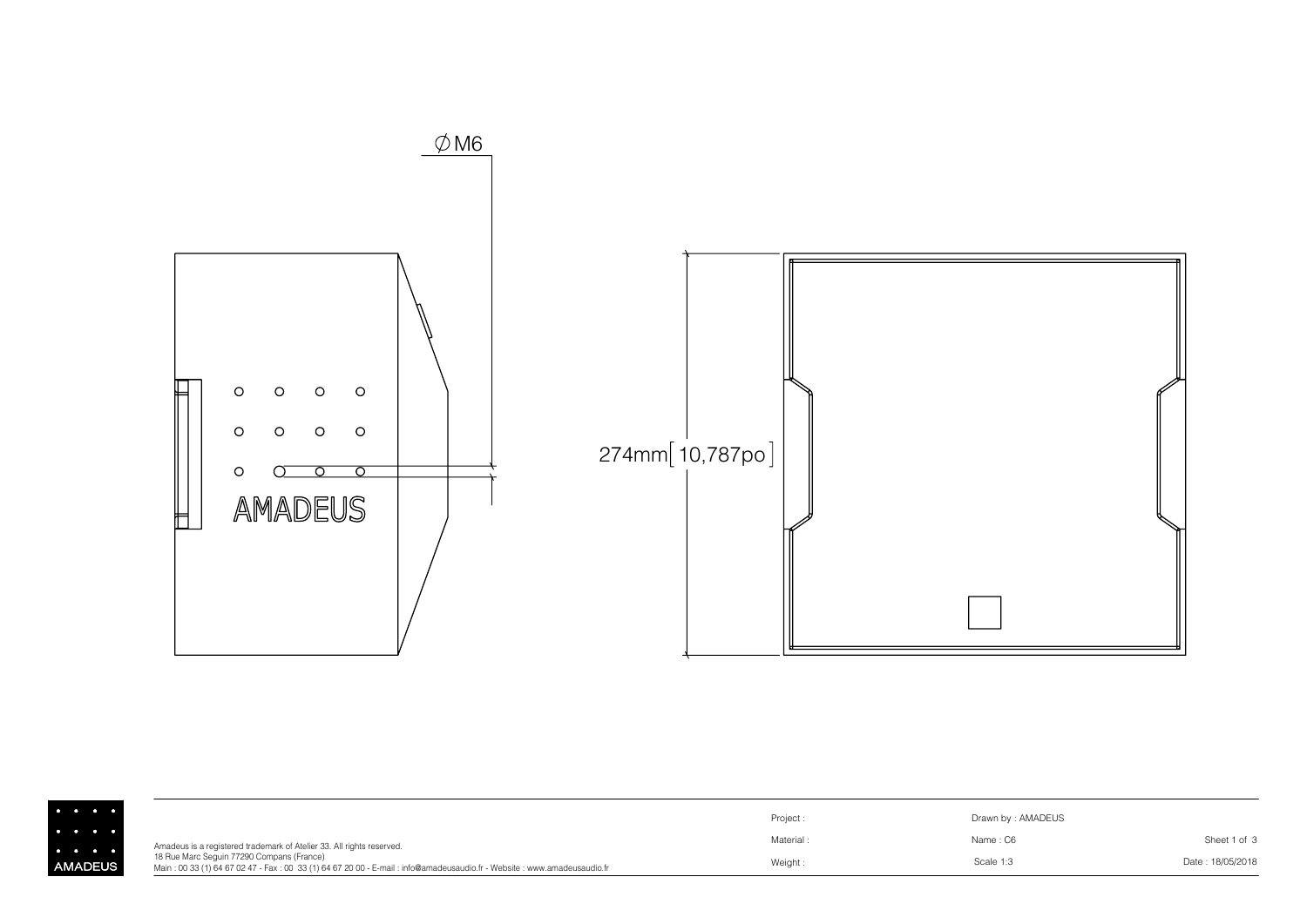

|              |                                                                                                                                                                     | Project: | Drawn by: AMADEUS |                  |
|--------------|---------------------------------------------------------------------------------------------------------------------------------------------------------------------|----------|-------------------|------------------|
| .<br>.       | Amadeus is a registered trademark of Atelier 33. All rights reserved.                                                                                               | Material | Name: C6          | Sheet 1 of 3     |
| <b>ADEUS</b> | 18 Rue Marc Sequin 77290 Compans (France)<br>Main: 00 33 (1) 64 67 02 47 - Fax: 00 33 (1) 64 67 20 00 - E-mail: info@amadeusaudio.fr - Website: www.amadeusaudio.fr | Weight:  | Scale 1:3         | Date: 18/05/2018 |

│<br>AM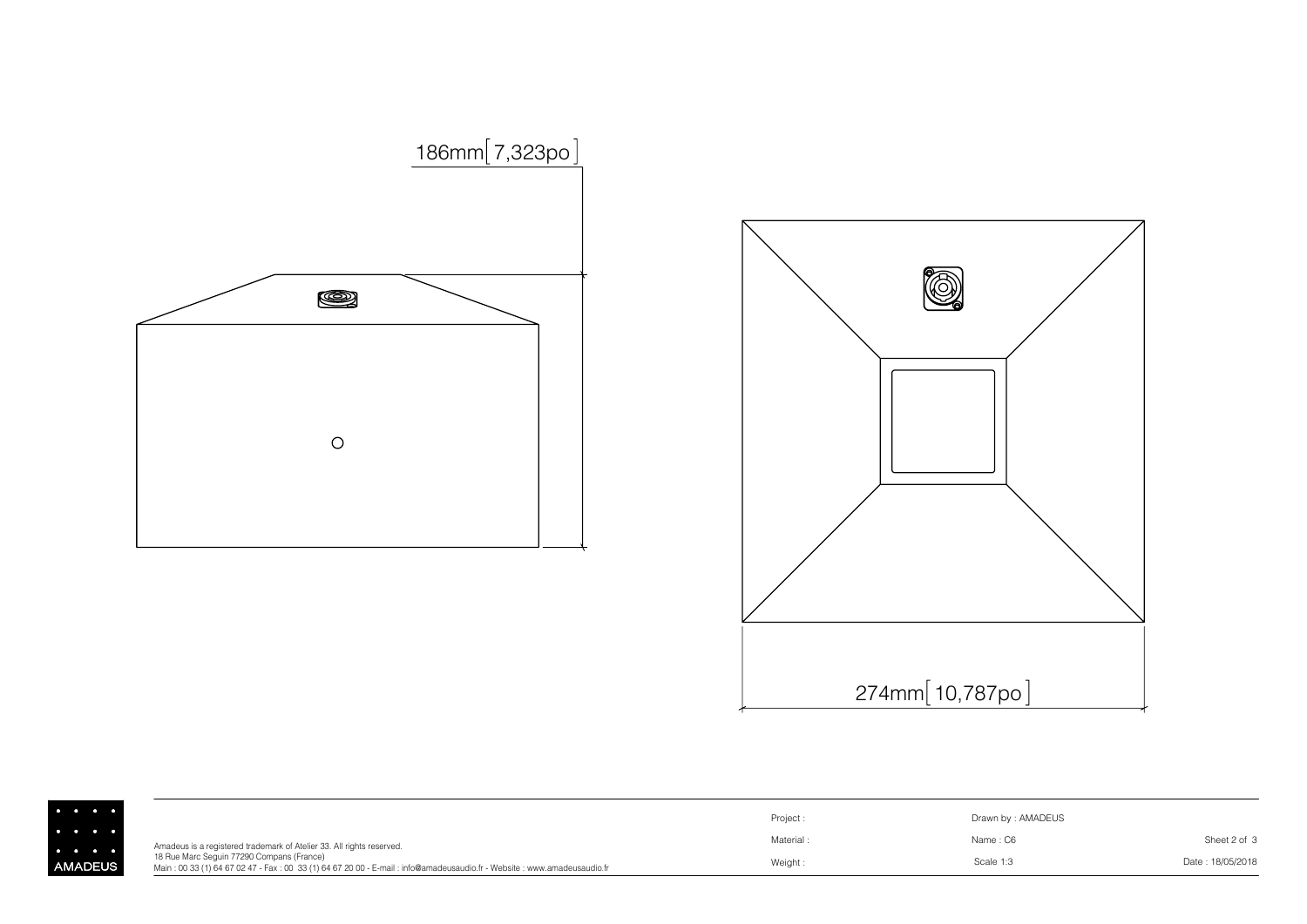

 $\begin{bmatrix} \cdot \\ \cdot \\ \cdot \\ \cdot \\ \cdot \\ \cdot \\ \cdot \\ \cdot \end{bmatrix}$ 



|               |                                                                                                                                                                     | Project   | Drawn by: AMADEUS |                  |
|---------------|---------------------------------------------------------------------------------------------------------------------------------------------------------------------|-----------|-------------------|------------------|
|               | Amadeus is a registered trademark of Atelier 33. All rights reserved.                                                                                               | Material: | Name: C6          | Sheet 2 of 3     |
| <b>IADEUS</b> | 18 Rue Marc Sequin 77290 Compans (France)<br>Main: 00 33 (1) 64 67 02 47 - Fax: 00 33 (1) 64 67 20 00 - E-mail: info@amadeusaudio.fr - Website: www.amadeusaudio.fr | Weight:   | Scale 1:3         | Date: 18/05/2018 |